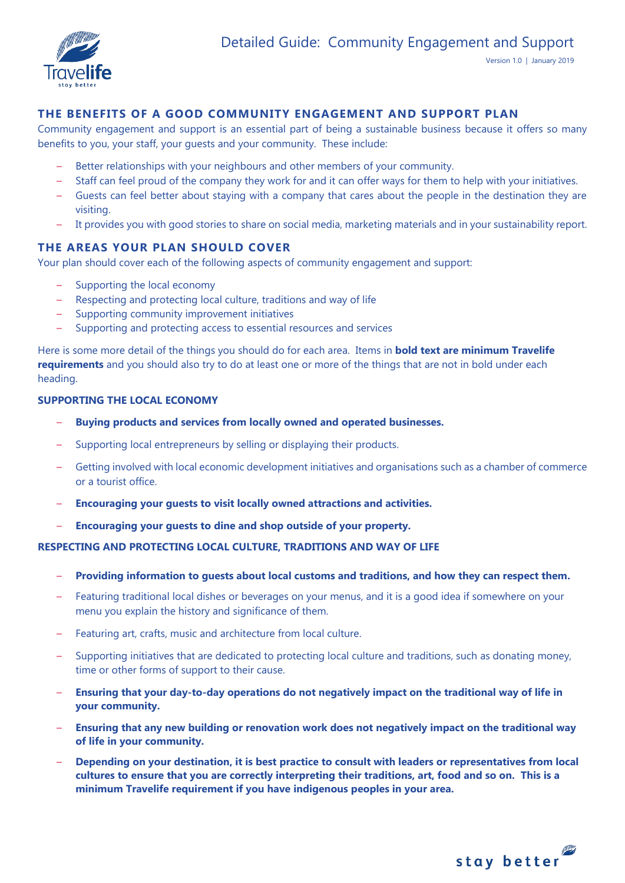

# **THE BENEFITS OF A GOOD COMMUNITY ENGAGEMENT AND SUPPORT PLAN**

Community engagement and support is an essential part of being a sustainable business because it offers so many benefits to you, your staff, your guests and your community. These include:

- Better relationships with your neighbours and other members of your community.
- Staff can feel proud of the company they work for and it can offer ways for them to help with your initiatives.
- Guests can feel better about staying with a company that cares about the people in the destination they are visiting.
- It provides you with good stories to share on social media, marketing materials and in your sustainability report.

# **THE AREAS YOUR PLAN SHOULD COVER**

Your plan should cover each of the following aspects of community engagement and support:

- Supporting the local economy
- Respecting and protecting local culture, traditions and way of life
- Supporting community improvement initiatives
- Supporting and protecting access to essential resources and services

Here is some more detail of the things you should do for each area. Items in **bold text are minimum Travelife requirements** and you should also try to do at least one or more of the things that are not in bold under each heading.

## **SUPPORTING THE LOCAL ECONOMY**

- **Buying products and services from locally owned and operated businesses.**
- Supporting local entrepreneurs by selling or displaying their products.
- Getting involved with local economic development initiatives and organisations such as a chamber of commerce or a tourist office.
- **Encouraging your guests to visit locally owned attractions and activities.**
- **Encouraging your guests to dine and shop outside of your property.**

## **RESPECTING AND PROTECTING LOCAL CULTURE, TRADITIONS AND WAY OF LIFE**

- **Providing information to guests about local customs and traditions, and how they can respect them.**
- Featuring traditional local dishes or beverages on your menus, and it is a good idea if somewhere on your menu you explain the history and significance of them.
- Featuring art, crafts, music and architecture from local culture.
- Supporting initiatives that are dedicated to protecting local culture and traditions, such as donating money, time or other forms of support to their cause.
- **Ensuring that your day-to-day operations do not negatively impact on the traditional way of life in your community.**
- **Ensuring that any new building or renovation work does not negatively impact on the traditional way of life in your community.**
- **Depending on your destination, it is best practice to consult with leaders or representatives from local cultures to ensure that you are correctly interpreting their traditions, art, food and so on. This is a minimum Travelife requirement if you have indigenous peoples in your area.**